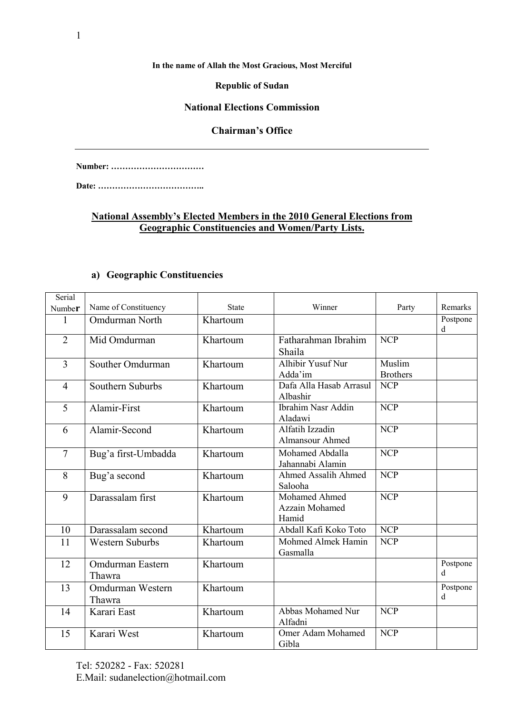#### **In the name of Allah the Most Gracious, Most Merciful**

#### **Republic of Sudan**

#### **National Elections Commission**

### **Chairman's Office**

**Number: ……………………………**

**Date: ………………………………..**

## **National Assembly's Elected Members in the 2010 General Elections from Geographic Constituencies and Women/Party Lists.**

| Serial         |                            |              |                                          |                           |               |
|----------------|----------------------------|--------------|------------------------------------------|---------------------------|---------------|
| Number         | Name of Constituency       | <b>State</b> | Winner                                   | Party                     | Remarks       |
| 1              | <b>Omdurman North</b>      | Khartoum     |                                          |                           | Postpone<br>d |
| $\overline{2}$ | Mid Omdurman               | Khartoum     | Fatharahman Ibrahim<br>Shaila            | <b>NCP</b>                |               |
| 3              | Souther Omdurman           | Khartoum     | Alhibir Yusuf Nur<br>Adda'im             | Muslim<br><b>Brothers</b> |               |
| $\overline{4}$ | Southern Suburbs           | Khartoum     | Dafa Alla Hasab Arrasul<br>Albashir      | <b>NCP</b>                |               |
| 5              | Alamir-First               | Khartoum     | <b>Ibrahim Nasr Addin</b><br>Aladawi     | <b>NCP</b>                |               |
| 6              | Alamir-Second              | Khartoum     | Alfatih Izzadin<br>Almansour Ahmed       | <b>NCP</b>                |               |
| $\overline{7}$ | Bug'a first-Umbadda        | Khartoum     | Mohamed Abdalla<br>Jahannabi Alamin      | <b>NCP</b>                |               |
| 8              | Bug'a second               | Khartoum     | <b>Ahmed Assalih Ahmed</b><br>Salooha    | <b>NCP</b>                |               |
| 9              | Darassalam first           | Khartoum     | Mohamed Ahmed<br>Azzain Mohamed<br>Hamid | <b>NCP</b>                |               |
| 10             | Darassalam second          | Khartoum     | Abdall Kafi Koko Toto                    | <b>NCP</b>                |               |
| 11             | <b>Western Suburbs</b>     | Khartoum     | Mohmed Almek Hamin<br>Gasmalla           | <b>NCP</b>                |               |
| 12             | Omdurman Eastern<br>Thawra | Khartoum     |                                          |                           | Postpone<br>d |
| 13             | Omdurman Western<br>Thawra | Khartoum     |                                          |                           | Postpone<br>d |
| 14             | Karari East                | Khartoum     | Abbas Mohamed Nur<br>Alfadni             | <b>NCP</b>                |               |
| 15             | Karari West                | Khartoum     | Omer Adam Mohamed<br>Gibla               | <b>NCP</b>                |               |

# **a) Geographic Constituencies**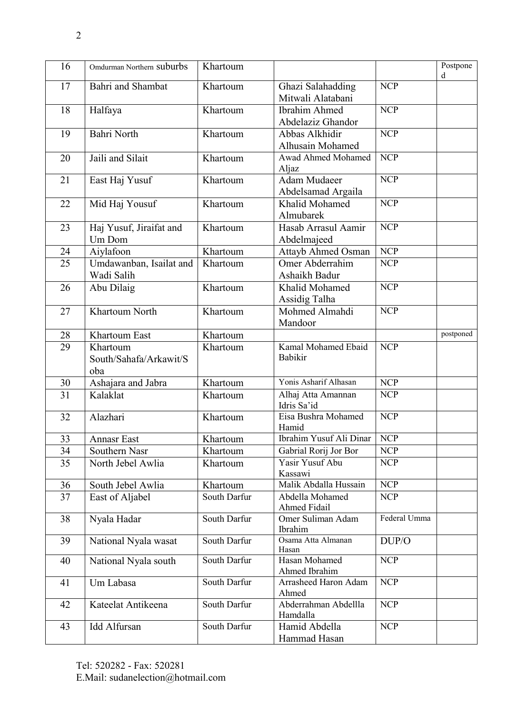| 16              | Omdurman Northern Suburbs                 | Khartoum     |                                           |              | Postpone<br>d |
|-----------------|-------------------------------------------|--------------|-------------------------------------------|--------------|---------------|
| 17              | Bahri and Shambat                         | Khartoum     | Ghazi Salahadding<br>Mitwali Alatabani    | <b>NCP</b>   |               |
| 18              | Halfaya                                   | Khartoum     | <b>Ibrahim Ahmed</b><br>Abdelaziz Ghandor | <b>NCP</b>   |               |
| 19              | <b>Bahri North</b>                        | Khartoum     | Abbas Alkhidir<br>Alhusain Mohamed        | <b>NCP</b>   |               |
| 20              | Jaili and Silait                          | Khartoum     | Awad Ahmed Mohamed<br>Aljaz               | <b>NCP</b>   |               |
| 21              | East Haj Yusuf                            | Khartoum     | <b>Adam Mudaeer</b><br>Abdelsamad Argaila | <b>NCP</b>   |               |
| 22              | Mid Haj Yousuf                            | Khartoum     | Khalid Mohamed<br>Almubarek               | <b>NCP</b>   |               |
| 23              | Haj Yusuf, Jiraifat and<br>Um Dom         | Khartoum     | Hasab Arrasul Aamir<br>Abdelmajeed        | <b>NCP</b>   |               |
| 24              | Aiylafoon                                 | Khartoum     | Attayb Ahmed Osman                        | <b>NCP</b>   |               |
| 25              | Umdawanban, Isailat and<br>Wadi Salih     | Khartoum     | Omer Abderrahim<br>Ashaikh Badur          | <b>NCP</b>   |               |
| 26              | Abu Dilaig                                | Khartoum     | Khalid Mohamed<br>Assidig Talha           | <b>NCP</b>   |               |
| 27              | Khartoum North                            | Khartoum     | Mohmed Almahdi<br>Mandoor                 | <b>NCP</b>   |               |
| 28              | Khartoum East                             | Khartoum     |                                           |              | postponed     |
| 29              | Khartoum<br>South/Sahafa/Arkawit/S<br>oba | Khartoum     | Kamal Mohamed Ebaid<br>Babikir            | <b>NCP</b>   |               |
| 30              | Ashajara and Jabra                        | Khartoum     | Yonis Asharif Alhasan                     | <b>NCP</b>   |               |
| $\overline{31}$ | Kalaklat                                  | Khartoum     | Alhaj Atta Amannan<br>Idris Sa'id         | <b>NCP</b>   |               |
| 32              | Alazhari                                  | Khartoum     | Eisa Bushra Mohamed<br>Hamid              | <b>NCP</b>   |               |
| 33              | <b>Annasr East</b>                        | Khartoum     | Ibrahim Yusuf Ali Dinar                   | NCP          |               |
| 34              | Southern Nasr                             | Khartoum     | Gabrial Rorij Jor Bor                     | <b>NCP</b>   |               |
| 35              | North Jebel Awlia                         | Khartoum     | Yasir Yusuf Abu<br>Kassawi                | <b>NCP</b>   |               |
| 36              | South Jebel Awlia                         | Khartoum     | Malik Abdalla Hussain                     | <b>NCP</b>   |               |
| 37              | East of Aljabel                           | South Darfur | Abdella Mohamed<br>Ahmed Fidail           | <b>NCP</b>   |               |
| 38              | Nyala Hadar                               | South Darfur | Omer Suliman Adam<br>Ibrahim              | Federal Umma |               |
| 39              | National Nyala wasat                      | South Darfur | Osama Atta Almanan<br>Hasan               | DUP/O        |               |
| 40              | National Nyala south                      | South Darfur | Hasan Mohamed<br>Ahmed Ibrahim            | <b>NCP</b>   |               |
| 41              | Um Labasa                                 | South Darfur | Arrasheed Haron Adam<br>Ahmed             | <b>NCP</b>   |               |
| 42              | Kateelat Antikeena                        | South Darfur | Abderrahman Abdellla<br>Hamdalla          | <b>NCP</b>   |               |
| 43              | <b>Idd Alfursan</b>                       | South Darfur | Hamid Abdella<br>Hammad Hasan             | <b>NCP</b>   |               |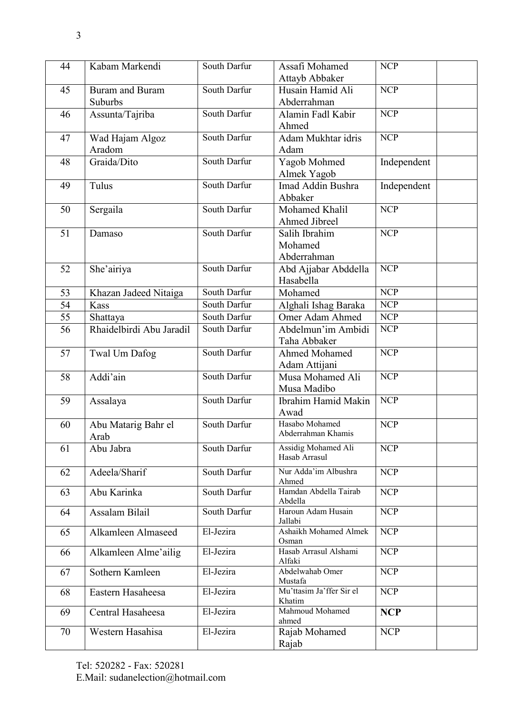| 44 | Kabam Markendi           | South Darfur | Assafi Mohamed                       | <b>NCP</b>       |
|----|--------------------------|--------------|--------------------------------------|------------------|
|    |                          |              | Attayb Abbaker                       |                  |
| 45 | <b>Buram and Buram</b>   | South Darfur | Husain Hamid Ali                     | <b>NCP</b>       |
|    | Suburbs                  |              | Abderrahman                          |                  |
| 46 | Assunta/Tajriba          | South Darfur | Alamin Fadl Kabir                    | <b>NCP</b>       |
|    |                          |              | Ahmed                                |                  |
| 47 | Wad Hajam Algoz          | South Darfur | Adam Mukhtar idris                   | <b>NCP</b>       |
|    | Aradom                   |              | Adam                                 |                  |
| 48 | Graida/Dito              | South Darfur | Yagob Mohmed                         | Independent      |
|    |                          |              | Almek Yagob                          |                  |
| 49 | Tulus                    | South Darfur | Imad Addin Bushra                    | Independent      |
|    |                          |              | Abbaker                              |                  |
| 50 | Sergaila                 | South Darfur | Mohamed Khalil                       | <b>NCP</b>       |
|    |                          |              | Ahmed Jibreel                        |                  |
| 51 | Damaso                   | South Darfur | Salih Ibrahim                        | <b>NCP</b>       |
|    |                          |              | Mohamed                              |                  |
|    |                          |              | Abderrahman                          |                  |
| 52 | She'airiya               | South Darfur | Abd Ajjabar Abddella                 | <b>NCP</b>       |
|    |                          |              | Hasabella                            |                  |
| 53 | Khazan Jadeed Nitaiga    | South Darfur | Mohamed                              | $\overline{NCP}$ |
| 54 | Kass                     | South Darfur | Alghali Ishag Baraka                 | <b>NCP</b>       |
| 55 | Shattaya                 | South Darfur | Omer Adam Ahmed                      | <b>NCP</b>       |
| 56 | Rhaidelbirdi Abu Jaradil | South Darfur | Abdelmun'im Ambidi                   | <b>NCP</b>       |
|    |                          |              | Taha Abbaker                         |                  |
| 57 | Twal Um Dafog            | South Darfur | Ahmed Mohamed                        | <b>NCP</b>       |
|    |                          |              | Adam Attijani                        |                  |
| 58 | Addi'ain                 | South Darfur | Musa Mohamed Ali                     | <b>NCP</b>       |
|    |                          |              | Musa Madibo                          |                  |
| 59 | Assalaya                 | South Darfur | Ibrahim Hamid Makin                  | <b>NCP</b>       |
|    |                          |              | Awad                                 |                  |
| 60 | Abu Matarig Bahr el      | South Darfur | Hasabo Mohamed<br>Abderrahman Khamis | <b>NCP</b>       |
|    | Arab                     |              |                                      |                  |
| 61 | Abu Jabra                | South Darfur | Assidig Mohamed Ali<br>Hasab Arrasul | <b>NCP</b>       |
|    |                          |              |                                      |                  |
| 62 | Adeela/Sharif            | South Darfur | Nur Adda'im Albushra<br>Ahmed        | <b>NCP</b>       |
| 63 | Abu Karinka              | South Darfur | Hamdan Abdella Tairab                | <b>NCP</b>       |
|    |                          |              | Abdella                              |                  |
| 64 | Assalam Bilail           | South Darfur | Haroun Adam Husain                   | <b>NCP</b>       |
|    |                          | El-Jezira    | Jallabi<br>Ashaikh Mohamed Almek     | <b>NCP</b>       |
| 65 | Alkamleen Almaseed       |              | Osman                                |                  |
| 66 | Alkamleen Alme'ailig     | El-Jezira    | Hasab Arrasul Alshami                | <b>NCP</b>       |
|    |                          |              | Alfaki                               |                  |
| 67 | Sothern Kamleen          | El-Jezira    | Abdelwahab Omer                      | <b>NCP</b>       |
|    | Eastern Hasaheesa        | El-Jezira    | Mustafa<br>Mu'ttasim Ja'ffer Sir el  | <b>NCP</b>       |
| 68 |                          |              | Khatim                               |                  |
| 69 | Central Hasaheesa        | El-Jezira    | Mahmoud Mohamed                      | <b>NCP</b>       |
|    |                          |              | ahmed                                |                  |
| 70 | Western Hasahisa         | El-Jezira    | Rajab Mohamed                        | <b>NCP</b>       |
|    |                          |              | Rajab                                |                  |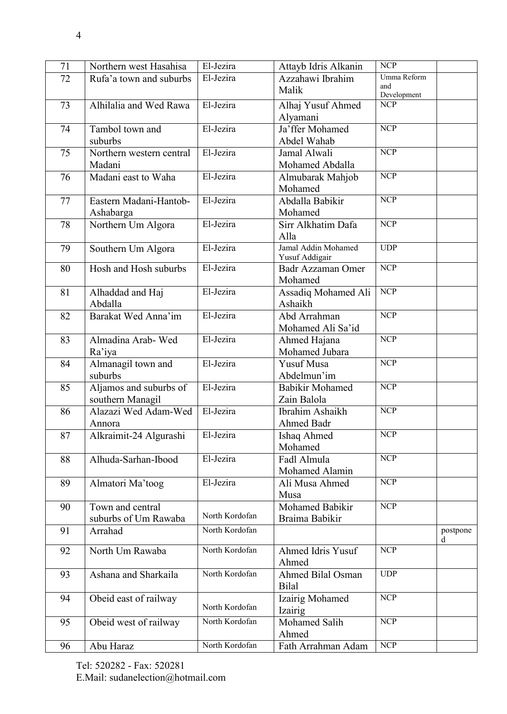| 71 | Northern west Hasahisa   | El-Jezira      | Attayb Idris Alkanin     | <b>NCP</b>         |          |
|----|--------------------------|----------------|--------------------------|--------------------|----------|
| 72 | Rufa'a town and suburbs  | El-Jezira      | Azzahawi Ibrahim         | Umma Reform        |          |
|    |                          |                | Malik                    | and<br>Development |          |
| 73 | Alhilalia and Wed Rawa   | El-Jezira      | Alhaj Yusuf Ahmed        | $\overline{NCP}$   |          |
|    |                          |                | Alyamani                 |                    |          |
| 74 | Tambol town and          | El-Jezira      | Ja'ffer Mohamed          | $\overline{NCP}$   |          |
|    | suburbs                  |                | Abdel Wahab              |                    |          |
| 75 | Northern western central | El-Jezira      | Jamal Alwali             | $\overline{NCP}$   |          |
|    | Madani                   |                | Mohamed Abdalla          |                    |          |
| 76 | Madani east to Waha      | El-Jezira      | Almubarak Mahjob         | <b>NCP</b>         |          |
|    |                          |                | Mohamed                  |                    |          |
| 77 | Eastern Madani-Hantob-   | El-Jezira      | Abdalla Babikir          | $\overline{NCP}$   |          |
|    | Ashabarga                |                | Mohamed                  |                    |          |
| 78 | Northern Um Algora       | El-Jezira      | Sirr Alkhatim Dafa       | <b>NCP</b>         |          |
|    |                          |                | Alla                     |                    |          |
| 79 | Southern Um Algora       | El-Jezira      | Jamal Addin Mohamed      | <b>UDP</b>         |          |
|    |                          |                | Yusuf Addigair           |                    |          |
| 80 | Hosh and Hosh suburbs    | El-Jezira      | <b>Badr Azzaman Omer</b> | $\overline{NCP}$   |          |
|    |                          |                | Mohamed                  |                    |          |
| 81 | Alhaddad and Haj         | El-Jezira      | Assadiq Mohamed Ali      | <b>NCP</b>         |          |
|    | Abdalla                  |                | Ashaikh                  |                    |          |
| 82 | Barakat Wed Anna'im      | El-Jezira      | Abd Arrahman             | <b>NCP</b>         |          |
|    |                          |                | Mohamed Ali Sa'id        |                    |          |
| 83 | Almadina Arab-Wed        | El-Jezira      | Ahmed Hajana             | <b>NCP</b>         |          |
|    | Ra'iya                   |                | Mohamed Jubara           |                    |          |
| 84 | Almanagil town and       | El-Jezira      | <b>Yusuf Musa</b>        | $\overline{NCP}$   |          |
|    | suburbs                  |                | Abdelmun'im              |                    |          |
| 85 | Aljamos and suburbs of   | El-Jezira      | <b>Babikir Mohamed</b>   | <b>NCP</b>         |          |
|    | southern Managil         |                | Zain Balola              |                    |          |
| 86 | Alazazi Wed Adam-Wed     | El-Jezira      | Ibrahim Ashaikh          | <b>NCP</b>         |          |
|    | Annora                   |                | Ahmed Badr               |                    |          |
| 87 | Alkraimit-24 Algurashi   | El-Jezira      | Ishaq Ahmed              | <b>NCP</b>         |          |
|    |                          |                | Mohamed                  |                    |          |
| 88 | Alhuda-Sarhan-Ibood      | El-Jezira      | Fadl Almula              | <b>NCP</b>         |          |
|    |                          |                | Mohamed Alamin           |                    |          |
| 89 | Almatori Ma'toog         | El-Jezira      | Ali Musa Ahmed           | <b>NCP</b>         |          |
|    |                          |                | Musa                     |                    |          |
| 90 | Town and central         |                | Mohamed Babikir          | <b>NCP</b>         |          |
|    | suburbs of Um Rawaba     | North Kordofan | Braima Babikir           |                    |          |
| 91 | Arrahad                  | North Kordofan |                          |                    | postpone |
|    |                          |                |                          |                    | d        |
| 92 | North Um Rawaba          | North Kordofan | Ahmed Idris Yusuf        | <b>NCP</b>         |          |
|    |                          |                | Ahmed                    |                    |          |
| 93 | Ashana and Sharkaila     | North Kordofan | <b>Ahmed Bilal Osman</b> | <b>UDP</b>         |          |
|    |                          |                | <b>Bilal</b>             |                    |          |
| 94 | Obeid east of railway    | North Kordofan | Izairig Mohamed          | $\overline{NCP}$   |          |
|    |                          |                | Izairig                  |                    |          |
| 95 | Obeid west of railway    | North Kordofan | Mohamed Salih            | <b>NCP</b>         |          |
|    |                          |                | Ahmed                    |                    |          |
| 96 | Abu Haraz                | North Kordofan | Fath Arrahman Adam       | $\overline{NCP}$   |          |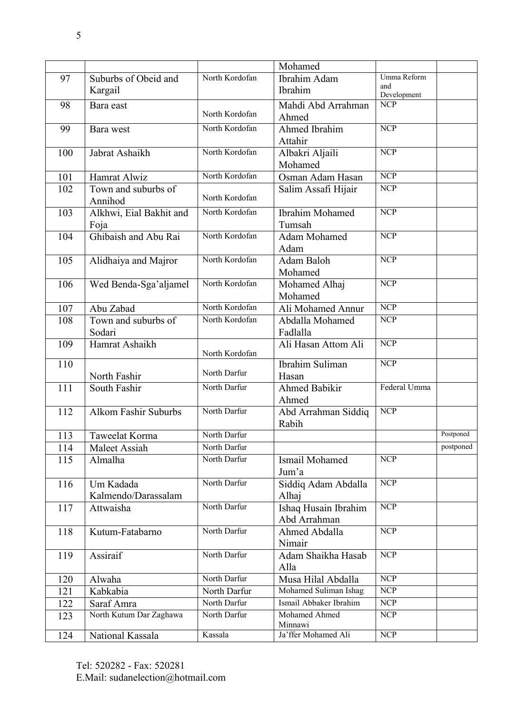|     |                             |                | Mohamed                        |                         |           |
|-----|-----------------------------|----------------|--------------------------------|-------------------------|-----------|
| 97  | Suburbs of Obeid and        | North Kordofan | Ibrahim Adam                   | Umma Reform             |           |
|     | Kargail                     |                | Ibrahim                        | and<br>Development      |           |
| 98  | Bara east                   |                | Mahdi Abd Arrahman             | <b>NCP</b>              |           |
|     |                             | North Kordofan | Ahmed                          |                         |           |
| 99  | Bara west                   | North Kordofan | <b>Ahmed Ibrahim</b>           | $\overline{NCP}$        |           |
|     |                             |                | Attahir                        |                         |           |
| 100 | Jabrat Ashaikh              | North Kordofan | Albakri Aljaili                | $\overline{NCP}$        |           |
|     |                             |                | Mohamed                        |                         |           |
| 101 | Hamrat Alwiz                | North Kordofan | Osman Adam Hasan               | $\overline{NCP}$        |           |
| 102 | Town and suburbs of         |                | Salim Assafi Hijair            | <b>NCP</b>              |           |
|     | Annihod                     | North Kordofan |                                |                         |           |
| 103 | Alkhwi, Eial Bakhit and     | North Kordofan | <b>Ibrahim Mohamed</b>         | <b>NCP</b>              |           |
|     | Foja                        |                | Tumsah                         |                         |           |
| 104 | Ghibaish and Abu Rai        | North Kordofan | <b>Adam Mohamed</b>            | <b>NCP</b>              |           |
|     |                             |                | Adam                           |                         |           |
| 105 | Alidhaiya and Majror        | North Kordofan | Adam Baloh                     | <b>NCP</b>              |           |
|     |                             |                | Mohamed                        |                         |           |
| 106 | Wed Benda-Sga'aljamel       | North Kordofan | Mohamed Alhaj                  | <b>NCP</b>              |           |
|     |                             |                | Mohamed                        |                         |           |
| 107 | Abu Zabad                   | North Kordofan | Ali Mohamed Annur              | NCP                     |           |
| 108 | Town and suburbs of         | North Kordofan | Abdalla Mohamed                | <b>NCP</b>              |           |
|     | Sodari                      |                | Fadlalla                       |                         |           |
| 109 | Hamrat Ashaikh              |                | Ali Hasan Attom Ali            | $\overline{NCP}$        |           |
| 110 |                             | North Kordofan | <b>Ibrahim Suliman</b>         | $\overline{NCP}$        |           |
|     | North Fashir                | North Darfur   | Hasan                          |                         |           |
| 111 | South Fashir                | North Darfur   | <b>Ahmed Babikir</b>           | Federal Umma            |           |
|     |                             |                | Ahmed                          |                         |           |
| 112 | <b>Alkom Fashir Suburbs</b> | North Darfur   | Abd Arrahman Siddiq            | $\overline{NCP}$        |           |
|     |                             |                | Rabih                          |                         |           |
| 113 | Taweelat Korma              | North Darfur   |                                |                         | Postponed |
| 114 | Maleet Assiah               | North Darfur   |                                |                         | postponed |
| 115 | Almalha                     | North Darfur   | Ismail Mohamed                 | <b>NCP</b>              |           |
|     |                             |                | Jum'a                          |                         |           |
| 116 | Um Kadada                   | North Darfur   | Siddiq Adam Abdalla            | $\overline{NCP}$        |           |
|     | Kalmendo/Darassalam         |                | Alhaj                          |                         |           |
| 117 | Attwaisha                   | North Darfur   | Ishaq Husain Ibrahim           | $\overline{NCP}$        |           |
|     |                             |                | Abd Arrahman                   |                         |           |
| 118 | Kutum-Fatabarno             | North Darfur   | Ahmed Abdalla                  | $\overline{\text{NCP}}$ |           |
|     |                             |                | Nimair                         |                         |           |
| 119 | Assiraif                    | North Darfur   | Adam Shaikha Hasab             | <b>NCP</b>              |           |
|     |                             |                | Alla                           |                         |           |
| 120 | Alwaha                      | North Darfur   | Musa Hilal Abdalla             | NCP                     |           |
| 121 | Kabkabia                    | North Darfur   | Mohamed Suliman Ishag          | <b>NCP</b>              |           |
| 122 | Saraf Amra                  | North Darfur   | Ismail Abbaker Ibrahim         | <b>NCP</b>              |           |
| 123 | North Kutum Dar Zaghawa     | North Darfur   | Mohamed Ahmed                  | <b>NCP</b>              |           |
|     |                             | Kassala        | Minnawi<br>Ja'ffer Mohamed Ali | <b>NCP</b>              |           |
| 124 | National Kassala            |                |                                |                         |           |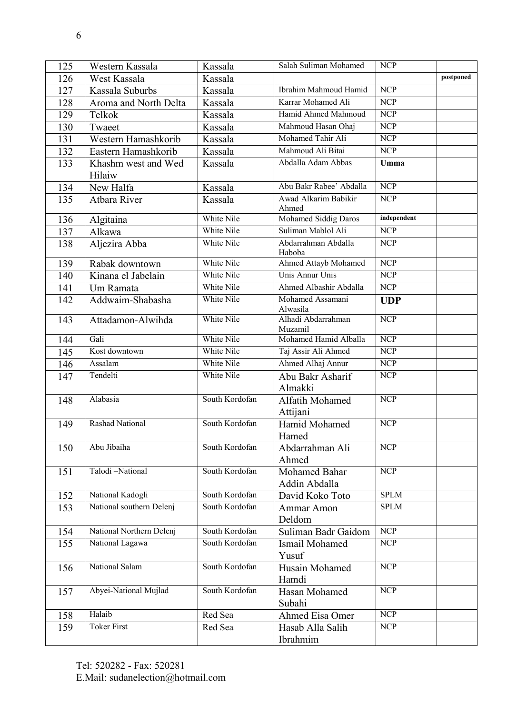| 125 | Western Kassala               | Kassala        | Salah Suliman Mohamed          | <b>NCP</b>       |           |
|-----|-------------------------------|----------------|--------------------------------|------------------|-----------|
| 126 | West Kassala                  | Kassala        |                                |                  | postponed |
| 127 | Kassala Suburbs               | Kassala        | Ibrahim Mahmoud Hamid          | $\overline{NCP}$ |           |
| 128 | Aroma and North Delta         | Kassala        | Karrar Mohamed Ali             | <b>NCP</b>       |           |
| 129 | Telkok                        | Kassala        | Hamid Ahmed Mahmoud            | $\overline{NCP}$ |           |
| 130 | Twaeet                        | Kassala        | Mahmoud Hasan Ohaj             | $\overline{NCP}$ |           |
| 131 | Western Hamashkorib           | Kassala        | Mohamed Tahir Ali              | $\overline{NCP}$ |           |
| 132 | Eastern Hamashkorib           | Kassala        | Mahmoud Ali Bitai              | $\overline{NCP}$ |           |
| 133 | Khashm west and Wed<br>Hilaiw | Kassala        | Abdalla Adam Abbas             | Umma             |           |
| 134 | New Halfa                     | Kassala        | Abu Bakr Rabee' Abdalla        | <b>NCP</b>       |           |
| 135 | Atbara River                  | Kassala        | Awad Alkarim Babikir<br>Ahmed  | <b>NCP</b>       |           |
| 136 | Algitaina                     | White Nile     | Mohamed Siddig Daros           | independent      |           |
| 137 | Alkawa                        | White Nile     | Suliman Mablol Ali             | NCP              |           |
| 138 | Aljezira Abba                 | White Nile     | Abdarrahman Abdalla<br>Haboba  | <b>NCP</b>       |           |
| 139 | Rabak downtown                | White Nile     | Ahmed Attayb Mohamed           | NCP              |           |
| 140 | Kinana el Jabelain            | White Nile     | Unis Annur Unis                | <b>NCP</b>       |           |
| 141 | Um Ramata                     | White Nile     | Ahmed Albashir Abdalla         | $\overline{NCP}$ |           |
| 142 | Addwaim-Shabasha              | White Nile     | Mohamed Assamani<br>Alwasila   | <b>UDP</b>       |           |
| 143 | Attadamon-Alwihda             | White Nile     | Alhadi Abdarrahman<br>Muzamil  | <b>NCP</b>       |           |
| 144 | Gali                          | White Nile     | Mohamed Hamid Alballa          | $\overline{NCP}$ |           |
| 145 | Kost downtown                 | White Nile     | Taj Assir Ali Ahmed            | <b>NCP</b>       |           |
| 146 | Assalam                       | White Nile     | Ahmed Alhaj Annur              | <b>NCP</b>       |           |
| 147 | Tendelti                      | White Nile     | Abu Bakr Asharif<br>Almakki    | <b>NCP</b>       |           |
| 148 | Alabasia                      | South Kordofan | Alfatih Mohamed<br>Attijani    | <b>NCP</b>       |           |
| 149 | Rashad National               | South Kordofan | Hamid Mohamed<br>Hamed         | <b>NCP</b>       |           |
| 150 | Abu Jibaiha                   | South Kordofan | Abdarrahman Ali<br>Ahmed       | <b>NCP</b>       |           |
| 151 | Talodi-National               | South Kordofan | Mohamed Bahar<br>Addin Abdalla | $\overline{NCP}$ |           |
| 152 | National Kadogli              | South Kordofan | David Koko Toto                | <b>SPLM</b>      |           |
| 153 | National southern Delenj      | South Kordofan | Ammar Amon<br>Deldom           | <b>SPLM</b>      |           |
| 154 | National Northern Delenj      | South Kordofan | Suliman Badr Gaidom            | $\overline{NCP}$ |           |
| 155 | National Lagawa               | South Kordofan | Ismail Mohamed                 | NCP              |           |
|     |                               |                | Yusuf                          |                  |           |
| 156 | National Salam                | South Kordofan | Husain Mohamed                 | <b>NCP</b>       |           |
|     |                               |                | Hamdi                          |                  |           |
| 157 | Abyei-National Mujlad         | South Kordofan | Hasan Mohamed                  | <b>NCP</b>       |           |
|     |                               |                | Subahi                         |                  |           |
| 158 | Halaib                        | Red Sea        | Ahmed Eisa Omer                | $\overline{NCP}$ |           |
| 159 | <b>Toker First</b>            | Red Sea        | Hasab Alla Salih               | <b>NCP</b>       |           |
|     |                               |                | Ibrahmim                       |                  |           |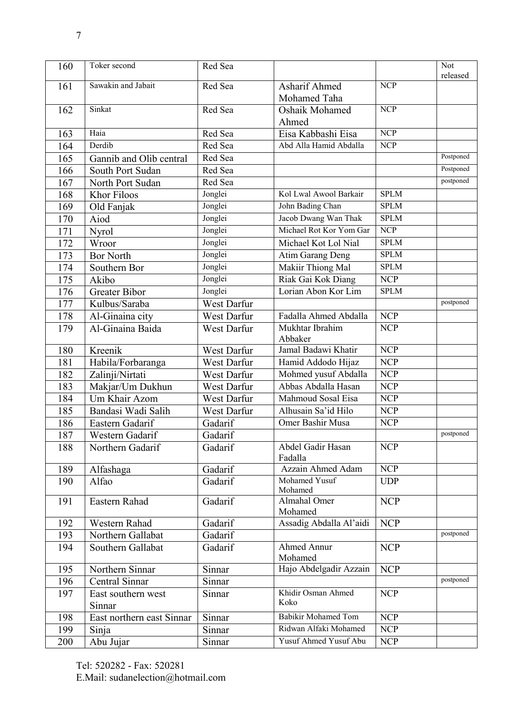| 160 | Toker second              | Red Sea     |                               |                  | Not<br>released |
|-----|---------------------------|-------------|-------------------------------|------------------|-----------------|
| 161 | Sawakin and Jabait        | Red Sea     | Asharif Ahmed<br>Mohamed Taha | <b>NCP</b>       |                 |
| 162 | Sinkat                    | Red Sea     | Oshaik Mohamed<br>Ahmed       | $\overline{NCP}$ |                 |
| 163 | Haia                      | Red Sea     | Eisa Kabbashi Eisa            | <b>NCP</b>       |                 |
| 164 | Derdib                    | Red Sea     | Abd Alla Hamid Abdalla        | <b>NCP</b>       |                 |
| 165 | Gannib and Olib central   | Red Sea     |                               |                  | Postponed       |
| 166 | South Port Sudan          | Red Sea     |                               |                  | Postponed       |
| 167 | North Port Sudan          | Red Sea     |                               |                  | postponed       |
| 168 | Khor Filoos               | Jonglei     | Kol Lwal Awool Barkair        | <b>SPLM</b>      |                 |
| 169 | Old Fanjak                | Jonglei     | John Bading Chan              | <b>SPLM</b>      |                 |
| 170 | Aiod                      | Jonglei     | Jacob Dwang Wan Thak          | <b>SPLM</b>      |                 |
| 171 | Nyrol                     | Jonglei     | Michael Rot Kor Yom Gar       | <b>NCP</b>       |                 |
| 172 | Wroor                     | Jonglei     | Michael Kot Lol Nial          | <b>SPLM</b>      |                 |
| 173 | <b>Bor North</b>          | Jonglei     | Atim Garang Deng              | <b>SPLM</b>      |                 |
| 174 | Southern Bor              | Jonglei     | Makiir Thiong Mal             | <b>SPLM</b>      |                 |
| 175 | Akibo                     | Jonglei     | Riak Gai Kok Diang            | <b>NCP</b>       |                 |
| 176 | Greater Bibor             | Jonglei     | Lorian Abon Kor Lim           | <b>SPLM</b>      |                 |
| 177 | Kulbus/Saraba             | West Darfur |                               |                  | postponed       |
| 178 | Al-Ginaina city           | West Darfur | Fadalla Ahmed Abdalla         | <b>NCP</b>       |                 |
| 179 | Al-Ginaina Baida          | West Darfur | Mukhtar Ibrahim<br>Abbaker    | <b>NCP</b>       |                 |
| 180 | Kreenik                   | West Darfur | Jamal Badawi Khatir           | <b>NCP</b>       |                 |
| 181 | Habila/Forbaranga         | West Darfur | Hamid Addodo Hijaz            | <b>NCP</b>       |                 |
| 182 | Zalinji/Nirtati           | West Darfur | Mohmed yusuf Abdalla          | <b>NCP</b>       |                 |
| 183 | Makjar/Um Dukhun          | West Darfur | Abbas Abdalla Hasan           | <b>NCP</b>       |                 |
| 184 | Um Khair Azom             | West Darfur | Mahmoud Sosal Eisa            | <b>NCP</b>       |                 |
| 185 | Bandasi Wadi Salih        | West Darfur | Alhusain Sa'id Hilo           | <b>NCP</b>       |                 |
| 186 | Eastern Gadarif           | Gadarif     | Omer Bashir Musa              | <b>NCP</b>       |                 |
| 187 | Western Gadarif           | Gadarif     |                               |                  | postponed       |
| 188 | Northern Gadarif          | Gadarif     | Abdel Gadir Hasan<br>Fadalla  | <b>NCP</b>       |                 |
| 189 | Alfashaga                 | Gadarif     | Azzain Ahmed Adam             | <b>NCP</b>       |                 |
| 190 | Alfao                     | Gadarif     | Mohamed Yusuf<br>Mohamed      | <b>UDP</b>       |                 |
| 191 | Eastern Rahad             | Gadarif     | Almahal Omer<br>Mohamed       | <b>NCP</b>       |                 |
| 192 | Western Rahad             | Gadarif     | Assadig Abdalla Al'aidi       | <b>NCP</b>       |                 |
| 193 | Northern Gallabat         | Gadarif     |                               |                  | postponed       |
| 194 | Southern Gallabat         | Gadarif     | <b>Ahmed Annur</b><br>Mohamed | <b>NCP</b>       |                 |
| 195 | Northern Sinnar           | Sinnar      | Hajo Abdelgadir Azzain        | <b>NCP</b>       |                 |
| 196 | Central Sinnar            | Sinnar      |                               |                  | postponed       |
| 197 | East southern west        | Sinnar      | Khidir Osman Ahmed<br>Koko    | <b>NCP</b>       |                 |
|     | Sinnar                    |             | <b>Babikir Mohamed Tom</b>    |                  |                 |
| 198 | East northern east Sinnar | Sinnar      | Ridwan Alfaki Mohamed         | <b>NCP</b>       |                 |
| 199 | Sinja                     | Sinnar      |                               | <b>NCP</b>       |                 |
| 200 | Abu Jujar                 | Sinnar      | Yusuf Ahmed Yusuf Abu         | <b>NCP</b>       |                 |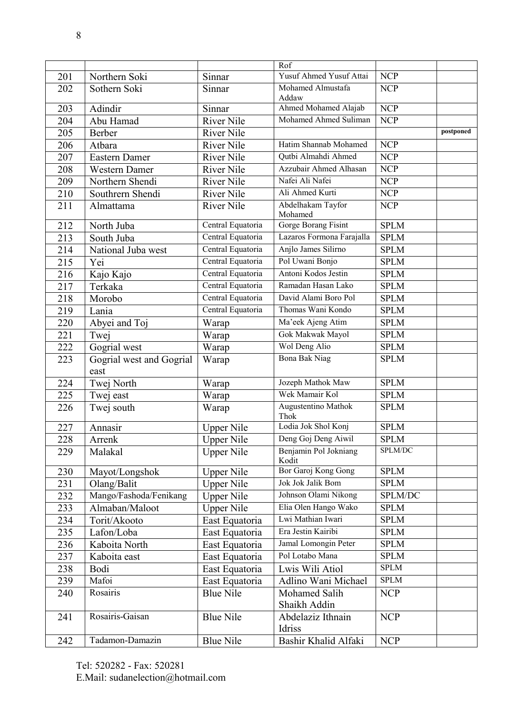|                  |                                  |                   | Rof                                |             |           |
|------------------|----------------------------------|-------------------|------------------------------------|-------------|-----------|
| 201              | Northern Soki                    | Sinnar            | Yusuf Ahmed Yusuf Attai            | <b>NCP</b>  |           |
| 202              | Sothern Soki                     | Sinnar            | Mohamed Almustafa<br>Addaw         | <b>NCP</b>  |           |
| 203              | Adindir                          | Sinnar            | Ahmed Mohamed Alajab               | <b>NCP</b>  |           |
| 204              | Abu Hamad                        | <b>River Nile</b> | Mohamed Ahmed Suliman              | <b>NCP</b>  |           |
| 205              | Berber                           | <b>River Nile</b> |                                    |             | postponed |
| 206              | Atbara                           | <b>River Nile</b> | Hatim Shannab Mohamed              | <b>NCP</b>  |           |
| 207              | Eastern Damer                    | <b>River Nile</b> | Qutbi Almahdi Ahmed                | <b>NCP</b>  |           |
| 208              | <b>Western Damer</b>             | <b>River Nile</b> | Azzubair Ahmed Alhasan             | <b>NCP</b>  |           |
| 209              | Northern Shendi                  | <b>River Nile</b> | Nafei Ali Nafei                    | <b>NCP</b>  |           |
| 210              | Southrern Shendi                 | <b>River Nile</b> | Ali Ahmed Kurti                    | <b>NCP</b>  |           |
| 211              | Almattama                        | <b>River Nile</b> | Abdelhakam Tayfor<br>Mohamed       | <b>NCP</b>  |           |
| 212              | North Juba                       | Central Equatoria | Gorge Borang Fisint                | <b>SPLM</b> |           |
| $\overline{2}13$ | South Juba                       | Central Equatoria | Lazaros Formona Farajalla          | <b>SPLM</b> |           |
| 214              | National Juba west               | Central Equatoria | Anjlo James Silirno                | <b>SPLM</b> |           |
| 215              | Yei                              | Central Equatoria | Pol Uwani Bonjo                    | <b>SPLM</b> |           |
| 216              | Kajo Kajo                        | Central Equatoria | Antoni Kodos Jestin                | <b>SPLM</b> |           |
| 217              | Terkaka                          | Central Equatoria | Ramadan Hasan Lako                 | <b>SPLM</b> |           |
| 218              | Morobo                           | Central Equatoria | David Alami Boro Pol               | <b>SPLM</b> |           |
| 219              | Lania                            | Central Equatoria | Thomas Wani Kondo                  | <b>SPLM</b> |           |
| 220              | Abyei and Toj                    | Warap             | Ma'eek Ajeng Atim                  | <b>SPLM</b> |           |
| 221              | Twej                             | Warap             | Gok Makwak Mayol                   | <b>SPLM</b> |           |
| 222              | Gogrial west                     | Warap             | Wol Deng Alio                      | <b>SPLM</b> |           |
| 223              | Gogrial west and Gogrial<br>east | Warap             | Bona Bak Niag                      | <b>SPLM</b> |           |
| 224              | Twej North                       | Warap             | Jozeph Mathok Maw                  | <b>SPLM</b> |           |
| 225              | Twej east                        | Warap             | Wek Mamair Kol                     | <b>SPLM</b> |           |
| 226              | Twej south                       | Warap             | <b>Augustentino Mathok</b><br>Thok | <b>SPLM</b> |           |
| 227              | Annasir                          | <b>Upper Nile</b> | Lodia Jok Shol Konj                | <b>SPLM</b> |           |
| 228              | Arrenk                           | <b>Upper Nile</b> | Deng Goj Deng Aiwil                | <b>SPLM</b> |           |
| 229              | Malakal                          | <b>Upper Nile</b> | Benjamin Pol Jokniang<br>Kodit     | SPLM/DC     |           |
| 230              | Mayot/Longshok                   | <b>Upper Nile</b> | Bor Garoj Kong Gong                | <b>SPLM</b> |           |
| 231              | Olang/Balit                      | <b>Upper Nile</b> | <b>Jok Jok Jalik Bom</b>           | <b>SPLM</b> |           |
| 232              | Mango/Fashoda/Fenikang           | <b>Upper Nile</b> | Johnson Olami Nikong               | SPLM/DC     |           |
| 233              | Almaban/Maloot                   | <b>Upper Nile</b> | Elia Olen Hango Wako               | <b>SPLM</b> |           |
| 234              | Torit/Akooto                     | East Equatoria    | Lwi Mathian Iwari                  | <b>SPLM</b> |           |
| 235              | Lafon/Loba                       | East Equatoria    | Era Jestin Kairibi                 | <b>SPLM</b> |           |
| 236              | Kaboita North                    | East Equatoria    | Jamal Lomongin Peter               | <b>SPLM</b> |           |
| 237              | Kaboita east                     | East Equatoria    | Pol Lotabo Mana                    | <b>SPLM</b> |           |
| 238              | Bodi                             | East Equatoria    | Lwis Wili Atiol                    | <b>SPLM</b> |           |
| 239              | Mafoi                            | East Equatoria    | Adlino Wani Michael                | <b>SPLM</b> |           |
| 240              | Rosairis                         | <b>Blue Nile</b>  | Mohamed Salih<br>Shaikh Addin      | <b>NCP</b>  |           |
| 241              | Rosairis-Gaisan                  | <b>Blue Nile</b>  | Abdelaziz Ithnain<br>Idriss        | <b>NCP</b>  |           |
| 242              | Tadamon-Damazin                  | <b>Blue Nile</b>  | Bashir Khalid Alfaki               | <b>NCP</b>  |           |
|                  |                                  |                   |                                    |             |           |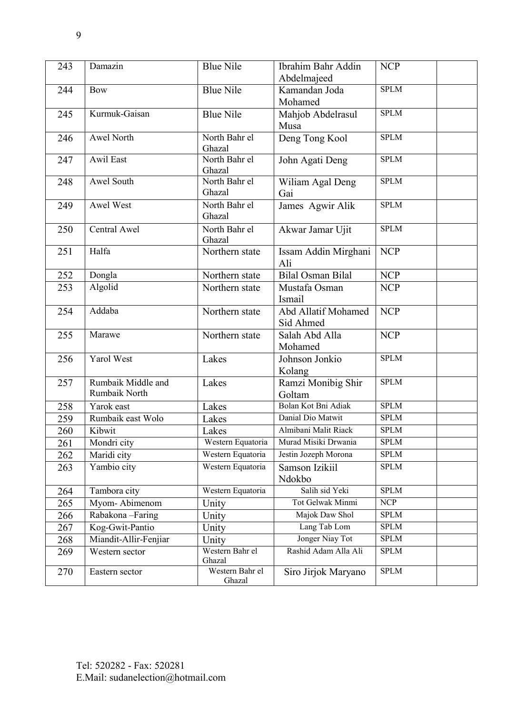| 243 | Damazin               | <b>Blue Nile</b>          | Ibrahim Bahr Addin         | <b>NCP</b>       |
|-----|-----------------------|---------------------------|----------------------------|------------------|
|     |                       |                           | Abdelmajeed                |                  |
| 244 | <b>Bow</b>            | <b>Blue Nile</b>          | Kamandan Joda              | <b>SPLM</b>      |
|     |                       |                           | Mohamed                    |                  |
| 245 | Kurmuk-Gaisan         | <b>Blue Nile</b>          | Mahjob Abdelrasul          | <b>SPLM</b>      |
|     |                       |                           | Musa                       |                  |
| 246 | Awel North            | North Bahr el             | Deng Tong Kool             | <b>SPLM</b>      |
|     |                       | Ghazal                    |                            |                  |
| 247 | Awil East             | North Bahr el<br>Ghazal   | John Agati Deng            | <b>SPLM</b>      |
| 248 | Awel South            | North Bahr el             | Wiliam Agal Deng           | <b>SPLM</b>      |
|     |                       | Ghazal                    | Gai                        |                  |
| 249 | Awel West             | North Bahr el             | James Agwir Alik           | <b>SPLM</b>      |
|     |                       | Ghazal                    |                            |                  |
| 250 | Central Awel          | North Bahr el             | Akwar Jamar Ujit           | <b>SPLM</b>      |
|     |                       | Ghazal                    |                            |                  |
| 251 | Halfa                 | Northern state            | Issam Addin Mirghani       | <b>NCP</b>       |
|     |                       |                           | Ali                        |                  |
| 252 | Dongla                | Northern state            | <b>Bilal Osman Bilal</b>   | <b>NCP</b>       |
| 253 | Algolid               | Northern state            | Mustafa Osman              | <b>NCP</b>       |
|     |                       |                           | Ismail                     |                  |
| 254 | Addaba                | Northern state            | <b>Abd Allatif Mohamed</b> | <b>NCP</b>       |
|     |                       |                           | Sid Ahmed                  |                  |
| 255 | Marawe                | Northern state            | Salah Abd Alla             | <b>NCP</b>       |
|     |                       |                           | Mohamed                    |                  |
| 256 | Yarol West            | Lakes                     | Johnson Jonkio             | <b>SPLM</b>      |
|     |                       |                           | Kolang                     |                  |
| 257 | Rumbaik Middle and    | Lakes                     | Ramzi Monibig Shir         | <b>SPLM</b>      |
|     | Rumbaik North         |                           | Goltam                     |                  |
| 258 | Yarok east            | Lakes                     | Bolan Kot Bni Adiak        | <b>SPLM</b>      |
| 259 | Rumbaik east Wolo     | Lakes                     | Danial Dio Matwit          | <b>SPLM</b>      |
| 260 | Kibwit                | Lakes                     | Almibani Malit Riack       | <b>SPLM</b>      |
| 261 | Mondri city           | Western Equatoria         | Murad Misiki Drwania       | <b>SPLM</b>      |
| 262 | Maridi city           | Western Equatoria         | Jestin Jozeph Morona       | <b>SPLM</b>      |
| 263 | Yambio city           | Western Equatoria         | Samson Izikiil             | <b>SPLM</b>      |
|     |                       |                           | Ndokbo                     |                  |
| 264 | Tambora city          | Western Equatoria         | Salih sid Yeki             | <b>SPLM</b>      |
| 265 | Myom-Abimenom         | Unity                     | Tot Gelwak Minmi           | $\overline{NCP}$ |
| 266 | Rabakona-Faring       | Unity                     | Majok Daw Shol             | <b>SPLM</b>      |
| 267 | Kog-Gwit-Pantio       | Unity                     | Lang Tab Lom               | <b>SPLM</b>      |
| 268 | Miandit-Allir-Fenjiar | Unity                     | Jonger Niay Tot            | <b>SPLM</b>      |
| 269 | Western sector        | Western Bahr el<br>Ghazal | Rashid Adam Alla Ali       | <b>SPLM</b>      |
| 270 | Eastern sector        | Western Bahr el<br>Ghazal | Siro Jirjok Maryano        | <b>SPLM</b>      |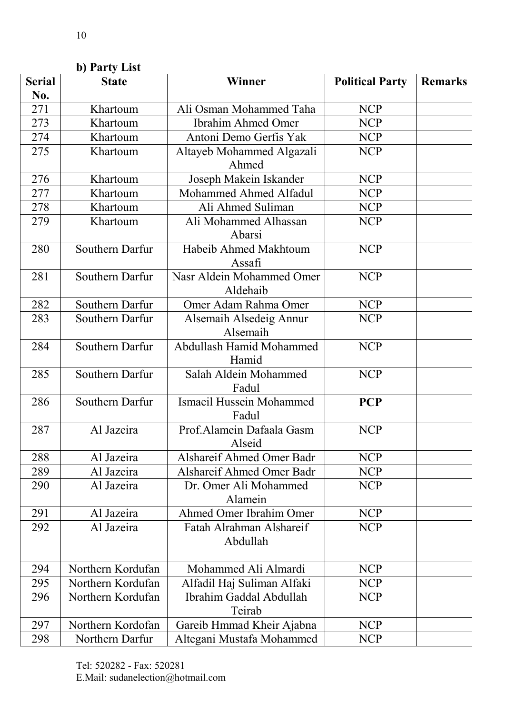|               | b) Party List     |                            |                        |                |
|---------------|-------------------|----------------------------|------------------------|----------------|
| <b>Serial</b> | <b>State</b>      | <b>Winner</b>              | <b>Political Party</b> | <b>Remarks</b> |
| No.           |                   |                            |                        |                |
| 271           | Khartoum          | Ali Osman Mohammed Taha    | <b>NCP</b>             |                |
| 273           | Khartoum          | <b>Ibrahim Ahmed Omer</b>  | <b>NCP</b>             |                |
| 274           | Khartoum          | Antoni Demo Gerfis Yak     | <b>NCP</b>             |                |
| 275           | Khartoum          | Altayeb Mohammed Algazali  | <b>NCP</b>             |                |
|               |                   | Ahmed                      |                        |                |
| 276           | Khartoum          | Joseph Makein Iskander     | <b>NCP</b>             |                |
| 277           | Khartoum          | Mohammed Ahmed Alfadul     | <b>NCP</b>             |                |
| 278           | Khartoum          | Ali Ahmed Suliman          | <b>NCP</b>             |                |
| 279           | Khartoum          | Ali Mohammed Alhassan      | <b>NCP</b>             |                |
|               |                   | Abarsi                     |                        |                |
| 280           | Southern Darfur   | Habeib Ahmed Makhtoum      | <b>NCP</b>             |                |
|               |                   | Assafi                     |                        |                |
| 281           | Southern Darfur   | Nasr Aldein Mohammed Omer  | <b>NCP</b>             |                |
|               |                   | Aldehaib                   |                        |                |
| 282           | Southern Darfur   | Omer Adam Rahma Omer       | <b>NCP</b>             |                |
| 283           | Southern Darfur   | Alsemaih Alsedeig Annur    | <b>NCP</b>             |                |
|               |                   | Alsemaih                   |                        |                |
| 284           | Southern Darfur   | Abdullash Hamid Mohammed   | <b>NCP</b>             |                |
|               |                   | Hamid                      |                        |                |
| 285           | Southern Darfur   | Salah Aldein Mohammed      | <b>NCP</b>             |                |
|               |                   | Fadul                      |                        |                |
| 286           | Southern Darfur   | Ismaeil Hussein Mohammed   | <b>PCP</b>             |                |
|               |                   | Fadul                      |                        |                |
| 287           | Al Jazeira        | Prof.Alamein Dafaala Gasm  | <b>NCP</b>             |                |
|               |                   | Alseid                     |                        |                |
| 288           | Al Jazeira        | Alshareif Ahmed Omer Badr  | <b>NCP</b>             |                |
| 289           | Al Jazeira        | Alshareif Ahmed Omer Badr  | <b>NCP</b>             |                |
| 290           | Al Jazeira        | Dr. Omer Ali Mohammed      | <b>NCP</b>             |                |
|               |                   | Alamein                    |                        |                |
| 291           | Al Jazeira        | Ahmed Omer Ibrahim Omer    | <b>NCP</b>             |                |
| 292           | Al Jazeira        | Fatah Alrahman Alshareif   | <b>NCP</b>             |                |
|               |                   | Abdullah                   |                        |                |
|               |                   |                            |                        |                |
| 294           | Northern Kordufan | Mohammed Ali Almardi       | <b>NCP</b>             |                |
| 295           | Northern Kordufan | Alfadil Haj Suliman Alfaki | <b>NCP</b>             |                |
| 296           | Northern Kordufan | Ibrahim Gaddal Abdullah    | <b>NCP</b>             |                |
|               |                   | Teirab                     |                        |                |
| 297           | Northern Kordofan | Gareib Hmmad Kheir Ajabna  | <b>NCP</b>             |                |
| 298           | Northern Darfur   | Altegani Mustafa Mohammed  | <b>NCP</b>             |                |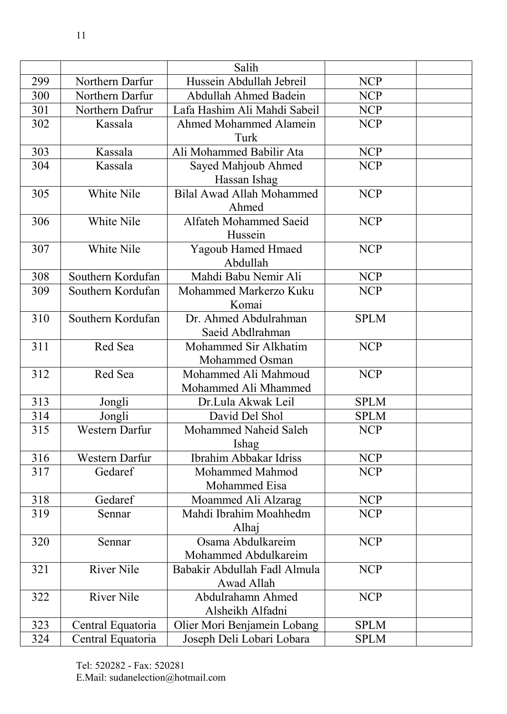| Hussein Abdullah Jebreil<br><b>NCP</b><br>299<br>Northern Darfur<br>Northern Darfur<br>Abdullah Ahmed Badein<br>300<br><b>NCP</b><br>Lafa Hashim Ali Mahdi Sabeil<br>Northern Dafrur<br>301<br><b>NCP</b><br><b>NCP</b><br>302<br><b>Ahmed Mohammed Alamein</b><br>Kassala<br>Turk<br><b>NCP</b><br>Kassala<br>Ali Mohammed Babilir Ata<br>303<br>304<br>Kassala<br>Sayed Mahjoub Ahmed<br><b>NCP</b><br>Hassan Ishag<br><b>Bilal Awad Allah Mohammed</b><br><b>NCP</b><br>White Nile<br>305<br>Ahmed<br>306<br>White Nile<br>Alfateh Mohammed Saeid<br><b>NCP</b><br>Hussein |  | Salih |  |
|-------------------------------------------------------------------------------------------------------------------------------------------------------------------------------------------------------------------------------------------------------------------------------------------------------------------------------------------------------------------------------------------------------------------------------------------------------------------------------------------------------------------------------------------------------------------------------|--|-------|--|
|                                                                                                                                                                                                                                                                                                                                                                                                                                                                                                                                                                               |  |       |  |
|                                                                                                                                                                                                                                                                                                                                                                                                                                                                                                                                                                               |  |       |  |
|                                                                                                                                                                                                                                                                                                                                                                                                                                                                                                                                                                               |  |       |  |
|                                                                                                                                                                                                                                                                                                                                                                                                                                                                                                                                                                               |  |       |  |
|                                                                                                                                                                                                                                                                                                                                                                                                                                                                                                                                                                               |  |       |  |
|                                                                                                                                                                                                                                                                                                                                                                                                                                                                                                                                                                               |  |       |  |
|                                                                                                                                                                                                                                                                                                                                                                                                                                                                                                                                                                               |  |       |  |
|                                                                                                                                                                                                                                                                                                                                                                                                                                                                                                                                                                               |  |       |  |
|                                                                                                                                                                                                                                                                                                                                                                                                                                                                                                                                                                               |  |       |  |
|                                                                                                                                                                                                                                                                                                                                                                                                                                                                                                                                                                               |  |       |  |
|                                                                                                                                                                                                                                                                                                                                                                                                                                                                                                                                                                               |  |       |  |
|                                                                                                                                                                                                                                                                                                                                                                                                                                                                                                                                                                               |  |       |  |
| White Nile<br><b>NCP</b><br>307<br><b>Yagoub Hamed Hmaed</b>                                                                                                                                                                                                                                                                                                                                                                                                                                                                                                                  |  |       |  |
| Abdullah                                                                                                                                                                                                                                                                                                                                                                                                                                                                                                                                                                      |  |       |  |
| Mahdi Babu Nemir Ali<br>308<br>Southern Kordufan<br><b>NCP</b>                                                                                                                                                                                                                                                                                                                                                                                                                                                                                                                |  |       |  |
| Southern Kordufan<br>Mohammed Markerzo Kuku<br>309<br><b>NCP</b>                                                                                                                                                                                                                                                                                                                                                                                                                                                                                                              |  |       |  |
| Komai                                                                                                                                                                                                                                                                                                                                                                                                                                                                                                                                                                         |  |       |  |
| 310<br>Southern Kordufan<br>Dr. Ahmed Abdulrahman<br><b>SPLM</b>                                                                                                                                                                                                                                                                                                                                                                                                                                                                                                              |  |       |  |
| Saeid Abdlrahman                                                                                                                                                                                                                                                                                                                                                                                                                                                                                                                                                              |  |       |  |
| Red Sea<br>Mohammed Sir Alkhatim<br>311<br><b>NCP</b>                                                                                                                                                                                                                                                                                                                                                                                                                                                                                                                         |  |       |  |
| Mohammed Osman                                                                                                                                                                                                                                                                                                                                                                                                                                                                                                                                                                |  |       |  |
| 312<br>Red Sea<br>Mohammed Ali Mahmoud<br><b>NCP</b>                                                                                                                                                                                                                                                                                                                                                                                                                                                                                                                          |  |       |  |
| Mohammed Ali Mhammed                                                                                                                                                                                                                                                                                                                                                                                                                                                                                                                                                          |  |       |  |
| <b>SPLM</b><br>313<br>Dr.Lula Akwak Leil<br>Jongli                                                                                                                                                                                                                                                                                                                                                                                                                                                                                                                            |  |       |  |
| David Del Shol<br><b>SPLM</b><br>314<br>Jongli                                                                                                                                                                                                                                                                                                                                                                                                                                                                                                                                |  |       |  |
| 315<br><b>Western Darfur</b><br>Mohammed Naheid Saleh<br><b>NCP</b>                                                                                                                                                                                                                                                                                                                                                                                                                                                                                                           |  |       |  |
| Ishag                                                                                                                                                                                                                                                                                                                                                                                                                                                                                                                                                                         |  |       |  |
| Ibrahim Abbakar Idriss<br><b>NCP</b><br>Western Darfur<br>316                                                                                                                                                                                                                                                                                                                                                                                                                                                                                                                 |  |       |  |
| 317<br>Gedaref<br>Mohammed Mahmod<br><b>NCP</b>                                                                                                                                                                                                                                                                                                                                                                                                                                                                                                                               |  |       |  |
| Mohammed Eisa                                                                                                                                                                                                                                                                                                                                                                                                                                                                                                                                                                 |  |       |  |
| 318<br>Moammed Ali Alzarag<br><b>NCP</b><br>Gedaref                                                                                                                                                                                                                                                                                                                                                                                                                                                                                                                           |  |       |  |
| Mahdi Ibrahim Moahhedm<br><b>NCP</b><br>319<br>Sennar                                                                                                                                                                                                                                                                                                                                                                                                                                                                                                                         |  |       |  |
| Alhaj<br>320<br>Osama Abdulkareim<br><b>NCP</b>                                                                                                                                                                                                                                                                                                                                                                                                                                                                                                                               |  |       |  |
| Sennar<br>Mohammed Abdulkareim                                                                                                                                                                                                                                                                                                                                                                                                                                                                                                                                                |  |       |  |
| 321<br><b>River Nile</b><br><b>NCP</b><br>Babakir Abdullah Fadl Almula                                                                                                                                                                                                                                                                                                                                                                                                                                                                                                        |  |       |  |
| Awad Allah                                                                                                                                                                                                                                                                                                                                                                                                                                                                                                                                                                    |  |       |  |
| <b>River Nile</b><br>322<br>Abdulrahamn Ahmed<br><b>NCP</b>                                                                                                                                                                                                                                                                                                                                                                                                                                                                                                                   |  |       |  |
| Alsheikh Alfadni                                                                                                                                                                                                                                                                                                                                                                                                                                                                                                                                                              |  |       |  |
| 323<br>Olier Mori Benjamein Lobang<br><b>SPLM</b><br>Central Equatoria                                                                                                                                                                                                                                                                                                                                                                                                                                                                                                        |  |       |  |
| 324<br>Central Equatoria<br>Joseph Deli Lobari Lobara<br><b>SPLM</b>                                                                                                                                                                                                                                                                                                                                                                                                                                                                                                          |  |       |  |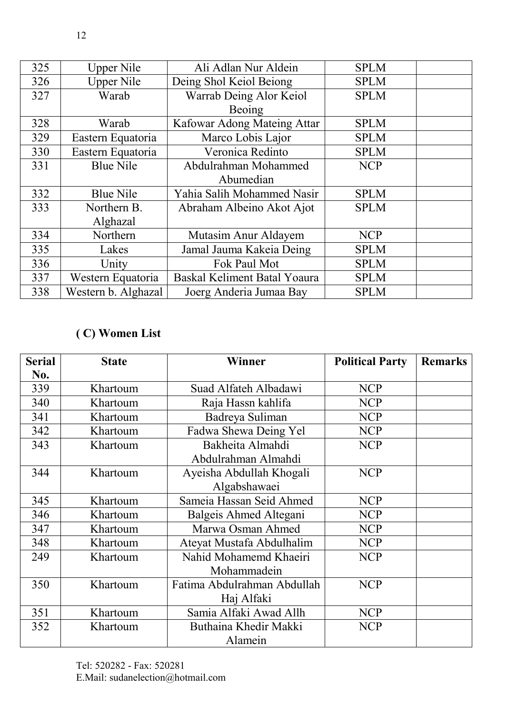| 325 | <b>Upper Nile</b>   | Ali Adlan Nur Aldein         | <b>SPLM</b> |  |
|-----|---------------------|------------------------------|-------------|--|
| 326 | <b>Upper Nile</b>   | Deing Shol Keiol Beiong      | <b>SPLM</b> |  |
| 327 | Warab               | Warrab Deing Alor Keiol      | <b>SPLM</b> |  |
|     |                     | Beoing                       |             |  |
| 328 | Warab               | Kafowar Adong Mateing Attar  | <b>SPLM</b> |  |
| 329 | Eastern Equatoria   | Marco Lobis Lajor            | <b>SPLM</b> |  |
| 330 | Eastern Equatoria   | Veronica Redinto             | <b>SPLM</b> |  |
| 331 | <b>Blue Nile</b>    | Abdulrahman Mohammed         | <b>NCP</b>  |  |
|     |                     | Abumedian                    |             |  |
| 332 | <b>Blue Nile</b>    | Yahia Salih Mohammed Nasir   | <b>SPLM</b> |  |
| 333 | Northern B.         | Abraham Albeino Akot Ajot    | <b>SPLM</b> |  |
|     | Alghazal            |                              |             |  |
| 334 | Northern            | Mutasim Anur Aldayem         | <b>NCP</b>  |  |
| 335 | Lakes               | Jamal Jauma Kakeia Deing     | <b>SPLM</b> |  |
| 336 | Unity               | Fok Paul Mot                 | <b>SPLM</b> |  |
| 337 | Western Equatoria   | Baskal Keliment Batal Yoaura | <b>SPLM</b> |  |
| 338 | Western b. Alghazal | Joerg Anderia Jumaa Bay      | <b>SPLM</b> |  |

# **( C) Women List**

| <b>Serial</b> | <b>State</b> | <b>Winner</b>               | <b>Political Party</b> | <b>Remarks</b> |
|---------------|--------------|-----------------------------|------------------------|----------------|
| No.           |              |                             |                        |                |
| 339           | Khartoum     | Suad Alfateh Albadawi       | <b>NCP</b>             |                |
| 340           | Khartoum     | Raja Hassn kahlifa          | <b>NCP</b>             |                |
| 341           | Khartoum     | Badreya Suliman             | <b>NCP</b>             |                |
| 342           | Khartoum     | Fadwa Shewa Deing Yel       | <b>NCP</b>             |                |
| 343           | Khartoum     | Bakheita Almahdi            | <b>NCP</b>             |                |
|               |              | Abdulrahman Almahdi         |                        |                |
| 344           | Khartoum     | Ayeisha Abdullah Khogali    | <b>NCP</b>             |                |
|               |              | Algabshawaei                |                        |                |
| 345           | Khartoum     | Sameia Hassan Seid Ahmed    | <b>NCP</b>             |                |
| 346           | Khartoum     | Balgeis Ahmed Altegani      | <b>NCP</b>             |                |
| 347           | Khartoum     | Marwa Osman Ahmed           | <b>NCP</b>             |                |
| 348           | Khartoum     | Ateyat Mustafa Abdulhalim   | <b>NCP</b>             |                |
| 249           | Khartoum     | Nahid Mohamemd Khaeiri      | <b>NCP</b>             |                |
|               |              | Mohammadein                 |                        |                |
| 350           | Khartoum     | Fatima Abdulrahman Abdullah | <b>NCP</b>             |                |
|               |              | Haj Alfaki                  |                        |                |
| 351           | Khartoum     | Samia Alfaki Awad Allh      | <b>NCP</b>             |                |
| 352           | Khartoum     | Buthaina Khedir Makki       | <b>NCP</b>             |                |
|               |              | Alamein                     |                        |                |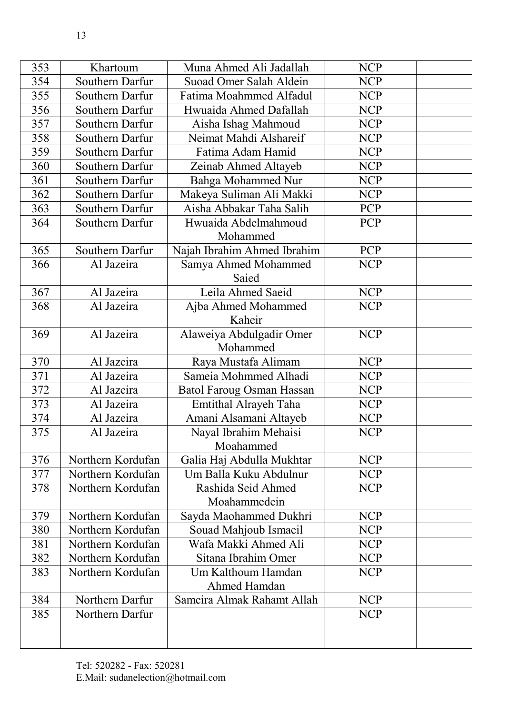| 353 | Khartoum          | Muna Ahmed Ali Jadallah          | <b>NCP</b> |  |
|-----|-------------------|----------------------------------|------------|--|
| 354 | Southern Darfur   | Suoad Omer Salah Aldein          | <b>NCP</b> |  |
| 355 | Southern Darfur   | Fatima Moahmmed Alfadul          | <b>NCP</b> |  |
| 356 | Southern Darfur   | Hwuaida Ahmed Dafallah           | <b>NCP</b> |  |
| 357 | Southern Darfur   | Aisha Ishag Mahmoud              | <b>NCP</b> |  |
| 358 | Southern Darfur   | Neimat Mahdi Alshareif           | <b>NCP</b> |  |
| 359 | Southern Darfur   | Fatima Adam Hamid                | <b>NCP</b> |  |
| 360 | Southern Darfur   | Zeinab Ahmed Altayeb             | <b>NCP</b> |  |
| 361 | Southern Darfur   | <b>Bahga Mohammed Nur</b>        | <b>NCP</b> |  |
| 362 | Southern Darfur   | Makeya Suliman Ali Makki         | <b>NCP</b> |  |
| 363 | Southern Darfur   | Aisha Abbakar Taha Salih         | PCP        |  |
| 364 | Southern Darfur   | Hwuaida Abdelmahmoud             | <b>PCP</b> |  |
|     |                   | Mohammed                         |            |  |
| 365 | Southern Darfur   | Najah Ibrahim Ahmed Ibrahim      | <b>PCP</b> |  |
| 366 | Al Jazeira        | Samya Ahmed Mohammed             | <b>NCP</b> |  |
|     |                   | Saied                            |            |  |
| 367 | Al Jazeira        | Leila Ahmed Saeid                | <b>NCP</b> |  |
| 368 | Al Jazeira        | Ajba Ahmed Mohammed              | <b>NCP</b> |  |
|     |                   | Kaheir                           |            |  |
| 369 | Al Jazeira        | Alaweiya Abdulgadir Omer         | <b>NCP</b> |  |
|     |                   | Mohammed                         |            |  |
| 370 | Al Jazeira        | Raya Mustafa Alimam              | <b>NCP</b> |  |
| 371 | Al Jazeira        | Sameia Mohmmed Alhadi            | <b>NCP</b> |  |
| 372 | Al Jazeira        | <b>Batol Faroug Osman Hassan</b> | <b>NCP</b> |  |
| 373 | Al Jazeira        | Emtithal Alrayeh Taha            | <b>NCP</b> |  |
| 374 | Al Jazeira        | Amani Alsamani Altayeb           | <b>NCP</b> |  |
| 375 | Al Jazeira        | Nayal Ibrahim Mehaisi            | <b>NCP</b> |  |
|     |                   | Moahammed                        |            |  |
| 376 | Northern Kordufan | Galia Haj Abdulla Mukhtar        | <b>NCP</b> |  |
| 377 | Northern Kordufan | Um Balla Kuku Abdulnur           | <b>NCP</b> |  |
| 378 | Northern Kordufan | Rashida Seid Ahmed               | <b>NCP</b> |  |
|     |                   | Moahammedein                     |            |  |
| 379 | Northern Kordufan | Sayda Maohammed Dukhri           | <b>NCP</b> |  |
| 380 | Northern Kordufan | Souad Mahjoub Ismaeil            | <b>NCP</b> |  |
| 381 | Northern Kordufan | Wafa Makki Ahmed Ali             | <b>NCP</b> |  |
| 382 | Northern Kordufan | Sitana Ibrahim Omer              | <b>NCP</b> |  |
| 383 | Northern Kordufan | Um Kalthoum Hamdan               | <b>NCP</b> |  |
|     |                   | Ahmed Hamdan                     |            |  |
| 384 | Northern Darfur   | Sameira Almak Rahamt Allah       | <b>NCP</b> |  |
| 385 | Northern Darfur   |                                  | <b>NCP</b> |  |
|     |                   |                                  |            |  |
|     |                   |                                  |            |  |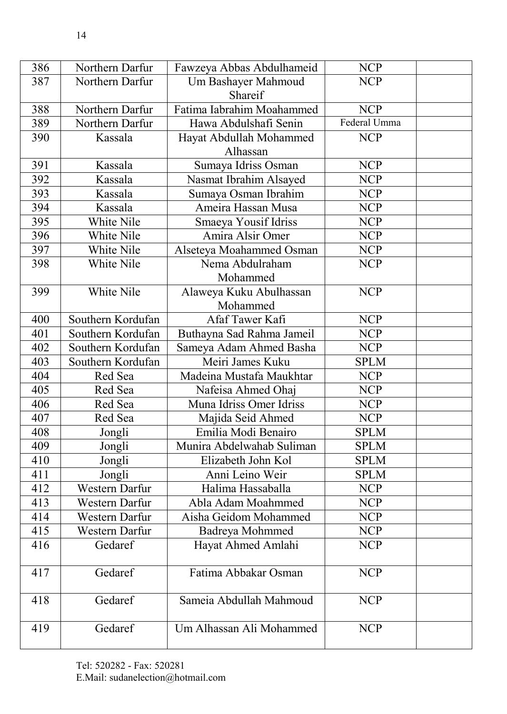| 386 | Northern Darfur       | Fawzeya Abbas Abdulhameid | <b>NCP</b>   |  |
|-----|-----------------------|---------------------------|--------------|--|
| 387 | Northern Darfur       | Um Bashayer Mahmoud       | <b>NCP</b>   |  |
|     |                       | Shareif                   |              |  |
| 388 | Northern Darfur       | Fatima Iabrahim Moahammed | <b>NCP</b>   |  |
| 389 | Northern Darfur       | Hawa Abdulshafi Senin     | Federal Umma |  |
| 390 | Kassala               | Hayat Abdullah Mohammed   | <b>NCP</b>   |  |
|     |                       | Alhassan                  |              |  |
| 391 | Kassala               | Sumaya Idriss Osman       | <b>NCP</b>   |  |
| 392 | Kassala               | Nasmat Ibrahim Alsayed    | <b>NCP</b>   |  |
| 393 | Kassala               | Sumaya Osman Ibrahim      | <b>NCP</b>   |  |
| 394 | Kassala               | Ameira Hassan Musa        | <b>NCP</b>   |  |
| 395 | White Nile            | Smaeya Yousif Idriss      | <b>NCP</b>   |  |
| 396 | White Nile            | Amira Alsir Omer          | <b>NCP</b>   |  |
| 397 | White Nile            | Alseteya Moahammed Osman  | <b>NCP</b>   |  |
| 398 | White Nile            | Nema Abdulraham           | <b>NCP</b>   |  |
|     |                       | Mohammed                  |              |  |
| 399 | White Nile            | Alaweya Kuku Abulhassan   | <b>NCP</b>   |  |
|     |                       | Mohammed                  |              |  |
| 400 | Southern Kordufan     | Afaf Tawer Kafi           | <b>NCP</b>   |  |
| 401 | Southern Kordufan     | Buthayna Sad Rahma Jameil | <b>NCP</b>   |  |
| 402 | Southern Kordufan     | Sameya Adam Ahmed Basha   | <b>NCP</b>   |  |
| 403 | Southern Kordufan     | Meiri James Kuku          | <b>SPLM</b>  |  |
| 404 | Red Sea               | Madeina Mustafa Maukhtar  | <b>NCP</b>   |  |
| 405 | Red Sea               | Nafeisa Ahmed Ohaj        | <b>NCP</b>   |  |
| 406 | Red Sea               | Muna Idriss Omer Idriss   | <b>NCP</b>   |  |
| 407 | Red Sea               | Majida Seid Ahmed         | <b>NCP</b>   |  |
| 408 | Jongli                | Emilia Modi Benairo       | <b>SPLM</b>  |  |
| 409 | Jongli                | Munira Abdelwahab Suliman | <b>SPLM</b>  |  |
| 410 | Jongli                | Elizabeth John Kol        | <b>SPLM</b>  |  |
| 411 | Jongli                | Anni Leino Weir           | <b>SPLM</b>  |  |
| 412 | Western Darfur        | Halima Hassaballa         | <b>NCP</b>   |  |
| 413 | Western Darfur        | Abla Adam Moahmmed        | <b>NCP</b>   |  |
| 414 | <b>Western Darfur</b> | Aisha Geidom Mohammed     | <b>NCP</b>   |  |
| 415 | Western Darfur        | Badreya Mohmmed           | <b>NCP</b>   |  |
| 416 | Gedaref               | Hayat Ahmed Amlahi        | <b>NCP</b>   |  |
|     |                       |                           |              |  |
| 417 | Gedaref               | Fatima Abbakar Osman      | <b>NCP</b>   |  |
|     |                       |                           |              |  |
| 418 | Gedaref               | Sameia Abdullah Mahmoud   | <b>NCP</b>   |  |
|     |                       |                           |              |  |
| 419 | Gedaref               | Um Alhassan Ali Mohammed  | <b>NCP</b>   |  |
|     |                       |                           |              |  |